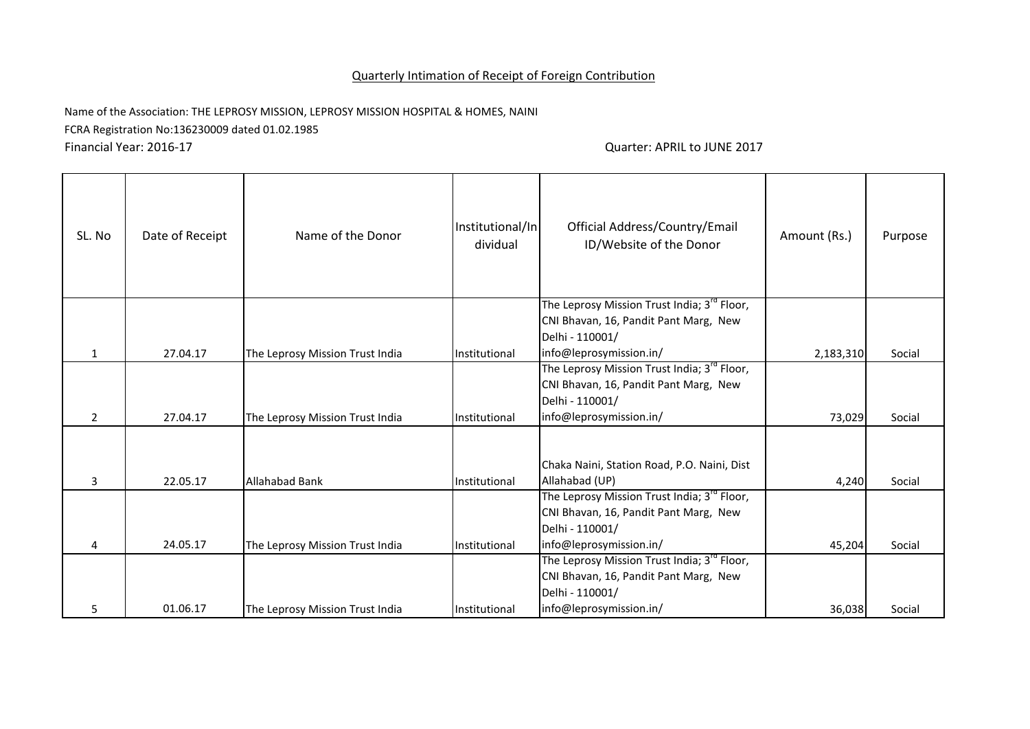## Quarterly Intimation of Receipt of Foreign Contribution

Name of the Association: THE LEPROSY MISSION, LEPROSY MISSION HOSPITAL & HOMES, NAINI FCRA Registration No:136230009 dated 01.02.1985

Financial Year: 2016-17 Quarter: APRIL to JUNE 2017

| SL. No         | Date of Receipt | Name of the Donor               | Institutional/In<br>dividual | Official Address/Country/Email<br>ID/Website of the Donor | Amount (Rs.) | Purpose |
|----------------|-----------------|---------------------------------|------------------------------|-----------------------------------------------------------|--------------|---------|
|                |                 |                                 |                              | The Leprosy Mission Trust India; 3 <sup>rd</sup> Floor,   |              |         |
|                |                 |                                 |                              | CNI Bhavan, 16, Pandit Pant Marg, New                     |              |         |
| $\mathbf{1}$   | 27.04.17        | The Leprosy Mission Trust India | Institutional                | Delhi - 110001/<br>info@leprosymission.in/                | 2,183,310    | Social  |
|                |                 |                                 |                              | The Leprosy Mission Trust India; 3 <sup>rd</sup> Floor,   |              |         |
|                |                 |                                 |                              | CNI Bhavan, 16, Pandit Pant Marg, New                     |              |         |
|                |                 |                                 |                              | Delhi - 110001/                                           |              |         |
| $\overline{2}$ | 27.04.17        | The Leprosy Mission Trust India | Institutional                | info@leprosymission.in/                                   | 73,029       | Social  |
|                |                 |                                 |                              |                                                           |              |         |
|                |                 |                                 |                              | Chaka Naini, Station Road, P.O. Naini, Dist               |              |         |
| 3              | 22.05.17        | Allahabad Bank                  | Institutional                | Allahabad (UP)                                            | 4,240        | Social  |
|                |                 |                                 |                              | The Leprosy Mission Trust India; 3 <sup>rd</sup> Floor,   |              |         |
|                |                 |                                 |                              | CNI Bhavan, 16, Pandit Pant Marg, New                     |              |         |
|                |                 |                                 |                              | Delhi - 110001/                                           |              |         |
| 4              | 24.05.17        | The Leprosy Mission Trust India | Institutional                | info@leprosymission.in/                                   | 45,204       | Social  |
|                |                 |                                 |                              | The Leprosy Mission Trust India; 3 <sup>rd</sup> Floor,   |              |         |
|                |                 |                                 |                              | CNI Bhavan, 16, Pandit Pant Marg, New<br>Delhi - 110001/  |              |         |
| 5              | 01.06.17        | The Leprosy Mission Trust India | Institutional                | info@leprosymission.in/                                   | 36,038       | Social  |
|                |                 |                                 |                              |                                                           |              |         |